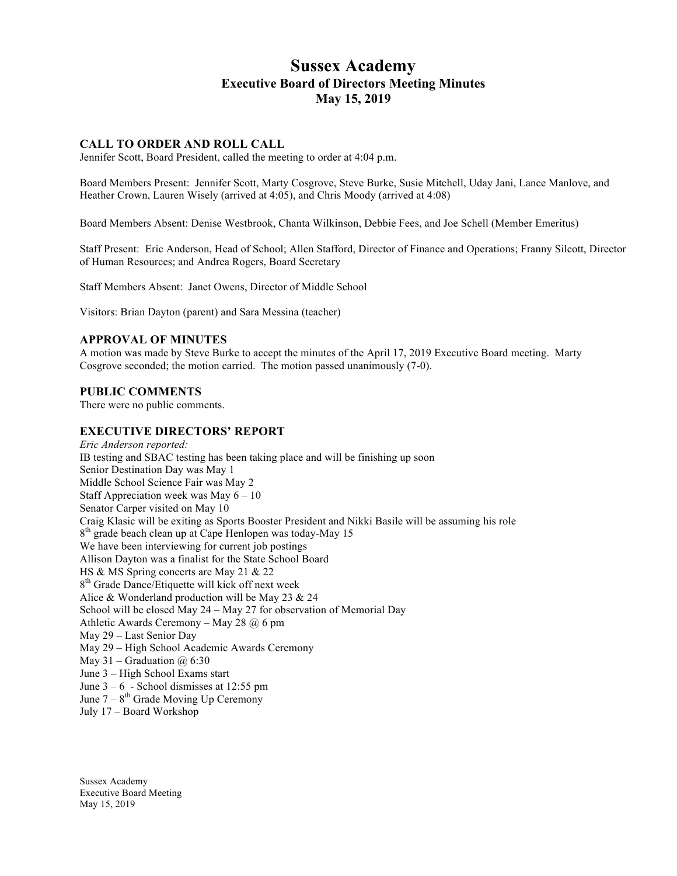# **Sussex Academy Executive Board of Directors Meeting Minutes May 15, 2019**

# **CALL TO ORDER AND ROLL CALL**

Jennifer Scott, Board President, called the meeting to order at 4:04 p.m.

Board Members Present: Jennifer Scott, Marty Cosgrove, Steve Burke, Susie Mitchell, Uday Jani, Lance Manlove, and Heather Crown, Lauren Wisely (arrived at 4:05), and Chris Moody (arrived at 4:08)

Board Members Absent: Denise Westbrook, Chanta Wilkinson, Debbie Fees, and Joe Schell (Member Emeritus)

Staff Present: Eric Anderson, Head of School; Allen Stafford, Director of Finance and Operations; Franny Silcott, Director of Human Resources; and Andrea Rogers, Board Secretary

Staff Members Absent: Janet Owens, Director of Middle School

Visitors: Brian Dayton (parent) and Sara Messina (teacher)

#### **APPROVAL OF MINUTES**

A motion was made by Steve Burke to accept the minutes of the April 17, 2019 Executive Board meeting. Marty Cosgrove seconded; the motion carried. The motion passed unanimously (7-0).

#### **PUBLIC COMMENTS**

There were no public comments.

#### **EXECUTIVE DIRECTORS' REPORT**

*Eric Anderson reported:* IB testing and SBAC testing has been taking place and will be finishing up soon Senior Destination Day was May 1 Middle School Science Fair was May 2 Staff Appreciation week was May 6 – 10 Senator Carper visited on May 10 Craig Klasic will be exiting as Sports Booster President and Nikki Basile will be assuming his role 8<sup>th</sup> grade beach clean up at Cape Henlopen was today-May 15 We have been interviewing for current job postings Allison Dayton was a finalist for the State School Board HS & MS Spring concerts are May 21 & 22 8<sup>th</sup> Grade Dance/Etiquette will kick off next week Alice & Wonderland production will be May 23 & 24 School will be closed May 24 – May 27 for observation of Memorial Day Athletic Awards Ceremony – May 28  $\omega$  6 pm May 29 – Last Senior Day May 29 – High School Academic Awards Ceremony May 31 – Graduation  $\omega$  6:30 June 3 – High School Exams start June  $3 - 6$  - School dismisses at 12:55 pm June  $7 - 8$ <sup>th</sup> Grade Moving Up Ceremony July 17 – Board Workshop

Sussex Academy Executive Board Meeting May 15, 2019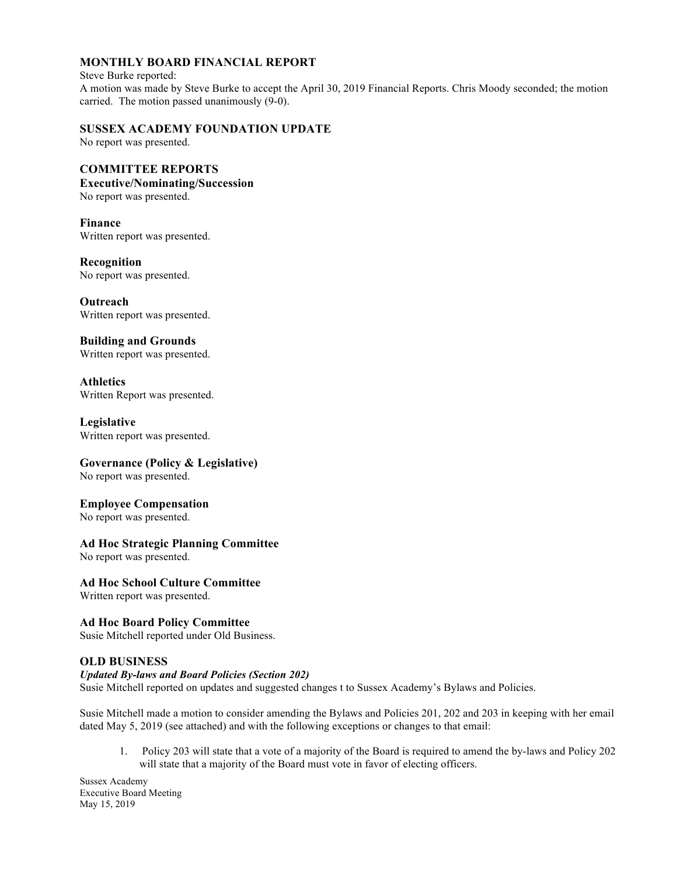# **MONTHLY BOARD FINANCIAL REPORT**

#### Steve Burke reported: A motion was made by Steve Burke to accept the April 30, 2019 Financial Reports. Chris Moody seconded; the motion carried. The motion passed unanimously (9-0).

# **SUSSEX ACADEMY FOUNDATION UPDATE**

No report was presented.

# **COMMITTEE REPORTS**

### **Executive/Nominating/Succession**

No report was presented.

**Finance** Written report was presented.

# **Recognition**

No report was presented.

**Outreach** Written report was presented.

# **Building and Grounds**

Written report was presented.

**Athletics** Written Report was presented.

## **Legislative**

Written report was presented.

# **Governance (Policy & Legislative)**

No report was presented.

#### **Employee Compensation**

No report was presented.

# **Ad Hoc Strategic Planning Committee**

No report was presented.

#### **Ad Hoc School Culture Committee**

Written report was presented.

# **Ad Hoc Board Policy Committee**

Susie Mitchell reported under Old Business.

#### **OLD BUSINESS**

## *Updated By-laws and Board Policies (Section 202)*

Susie Mitchell reported on updates and suggested changes t to Sussex Academy's Bylaws and Policies.

Susie Mitchell made a motion to consider amending the Bylaws and Policies 201, 202 and 203 in keeping with her email dated May 5, 2019 (see attached) and with the following exceptions or changes to that email:

1. Policy 203 will state that a vote of a majority of the Board is required to amend the by-laws and Policy 202 will state that a majority of the Board must vote in favor of electing officers.

Sussex Academy Executive Board Meeting May 15, 2019